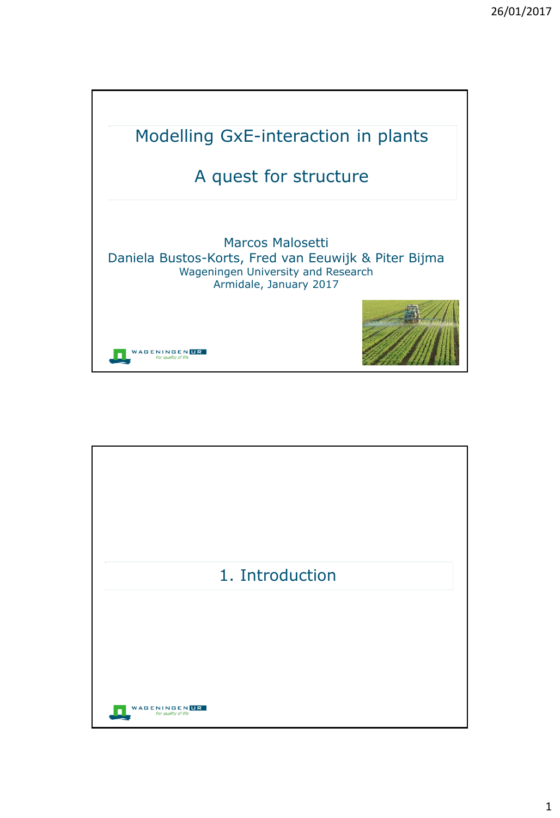

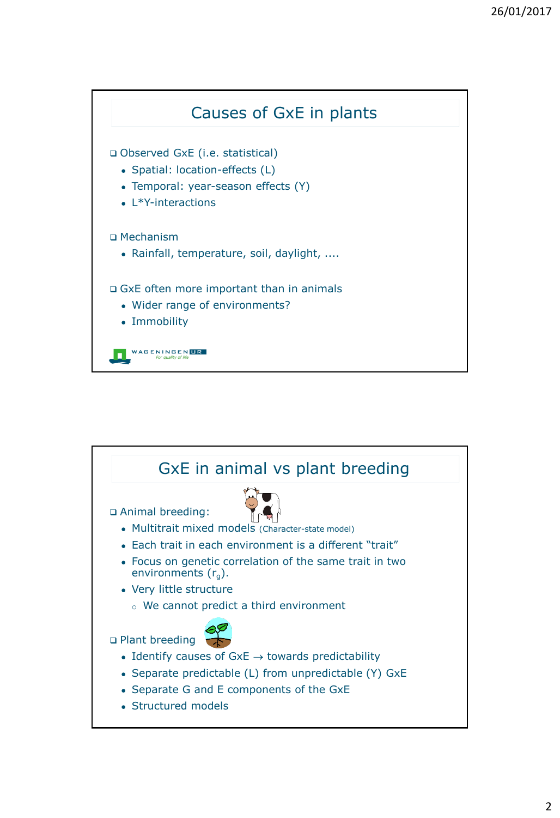

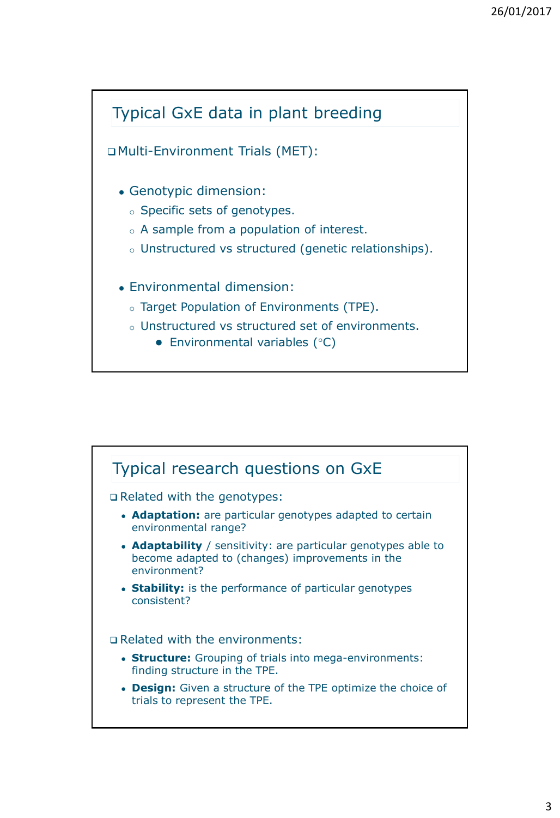

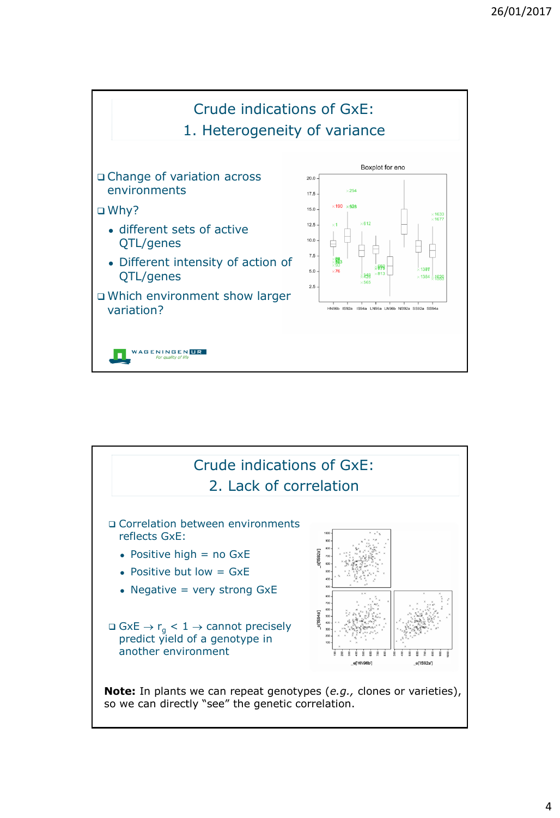

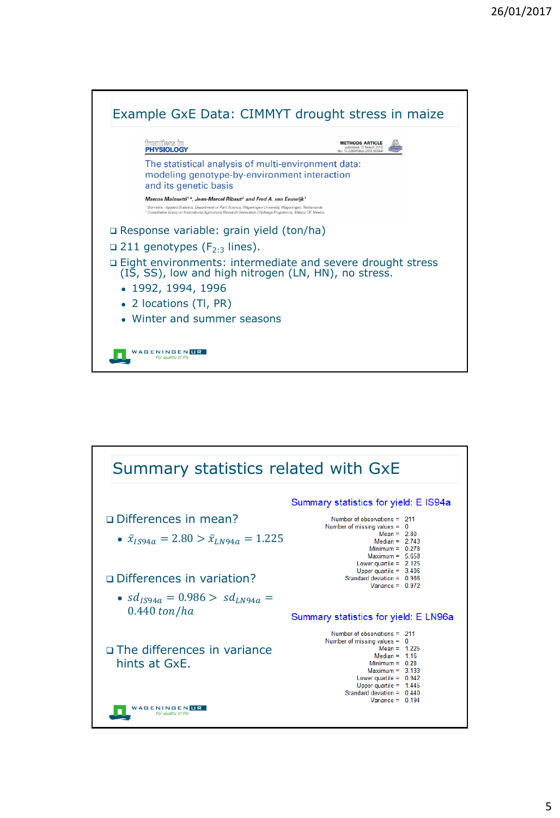

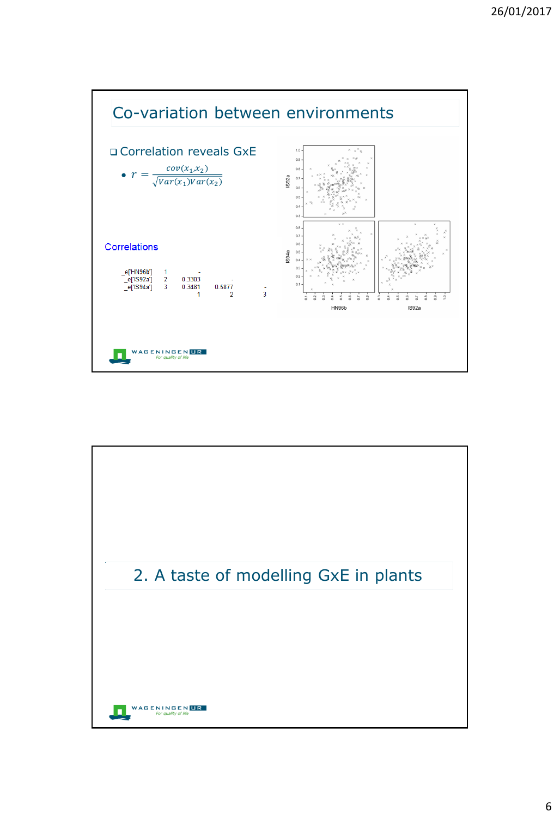

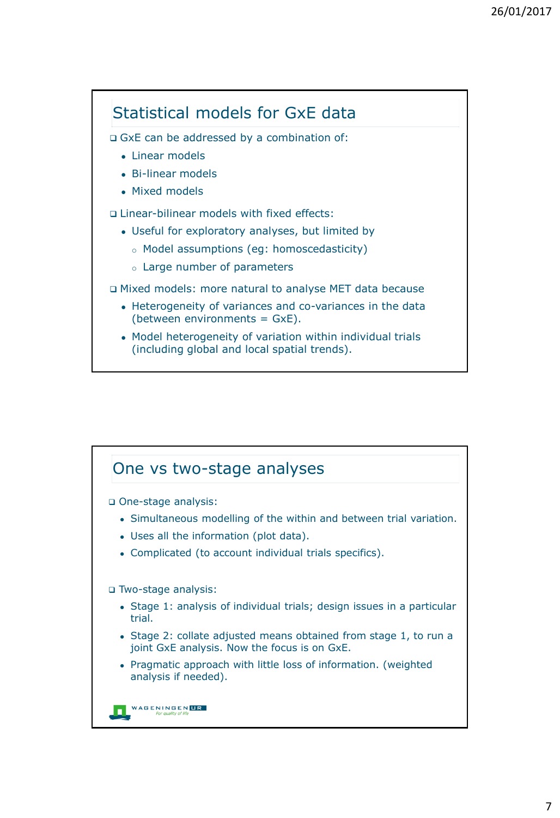

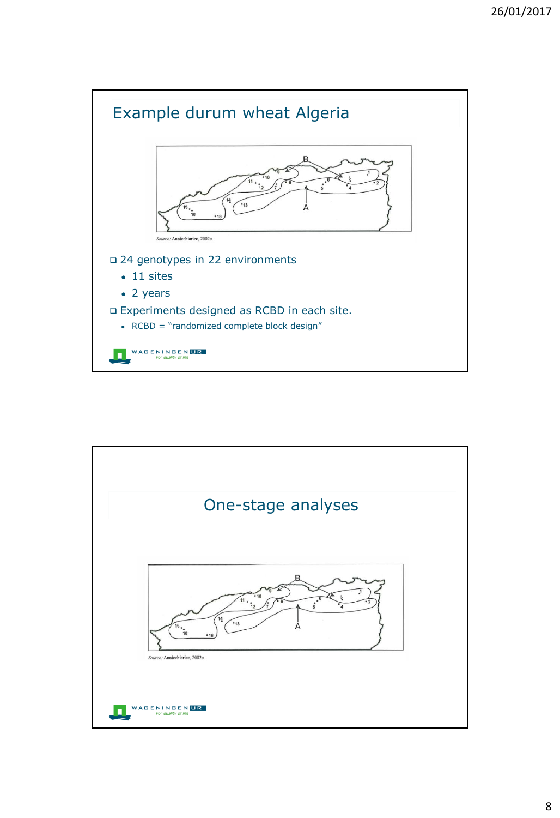

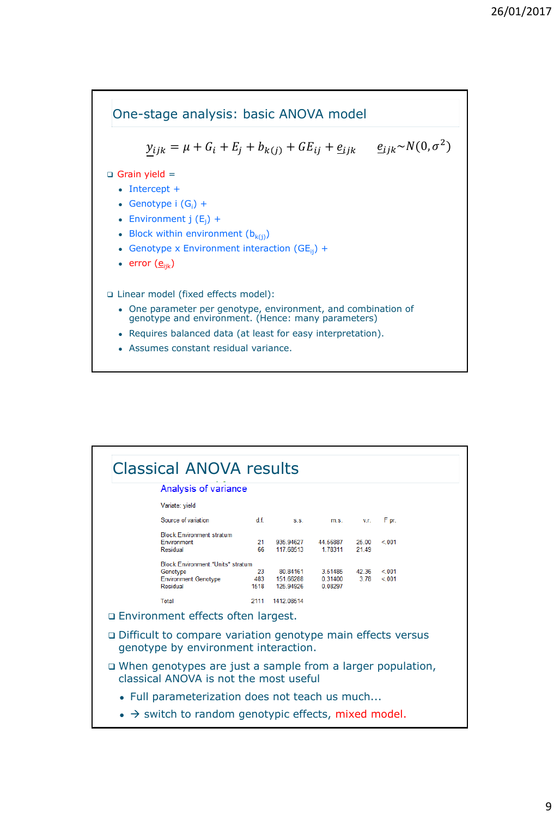

| <b>Classical ANOVA results</b>                                                                         |                                                                                   |                   |                                    |                               |                |                |  |  |
|--------------------------------------------------------------------------------------------------------|-----------------------------------------------------------------------------------|-------------------|------------------------------------|-------------------------------|----------------|----------------|--|--|
|                                                                                                        | Analysis of variance                                                              |                   |                                    |                               |                |                |  |  |
|                                                                                                        | Variate: vield                                                                    |                   |                                    |                               |                |                |  |  |
|                                                                                                        | Source of variation                                                               | df.               | S.S.                               | m.S.                          | V.F.           | F pr.          |  |  |
|                                                                                                        | <b>Block Environment stratum</b><br>Environment<br>Residual                       | 21<br>66          | 935.94627<br>117.68513             | 44.56887<br>1 78311           | 25.00<br>21 49 | < 001          |  |  |
|                                                                                                        | Block.Environment.*Units* stratum<br>Genotype<br>Environment.Genotype<br>Residual | 23<br>483<br>1518 | 80.84161<br>151.66288<br>125.94926 | 3.51485<br>0.31400<br>0.08297 | 42.36<br>3.78  | < 001<br>< 001 |  |  |
|                                                                                                        | Total                                                                             | 2111              | 1412 08514                         |                               |                |                |  |  |
|                                                                                                        | □ Environment effects often largest.                                              |                   |                                    |                               |                |                |  |  |
| □ Difficult to compare variation genotype main effects versus<br>genotype by environment interaction.  |                                                                                   |                   |                                    |                               |                |                |  |  |
| □ When genotypes are just a sample from a larger population,<br>classical ANOVA is not the most useful |                                                                                   |                   |                                    |                               |                |                |  |  |
| • Full parameterization does not teach us much                                                         |                                                                                   |                   |                                    |                               |                |                |  |  |
| $\bullet \rightarrow$ switch to random genotypic effects, mixed model.                                 |                                                                                   |                   |                                    |                               |                |                |  |  |
|                                                                                                        |                                                                                   |                   |                                    |                               |                |                |  |  |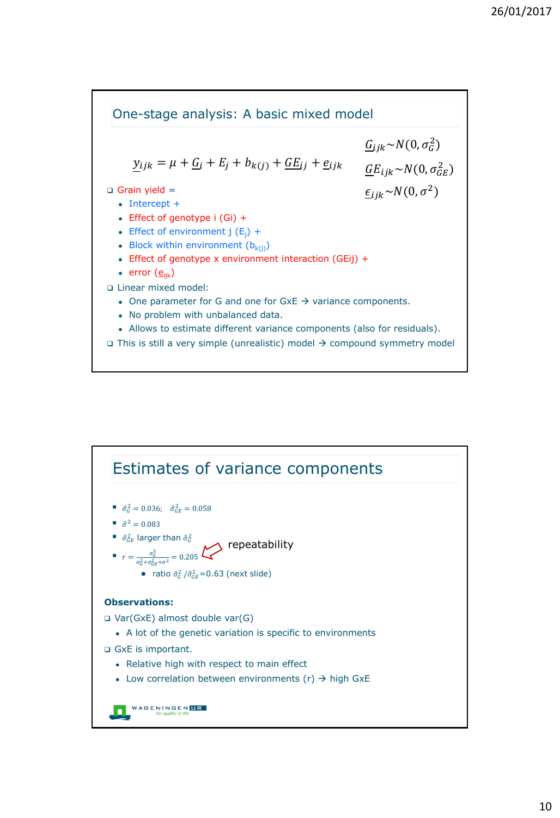

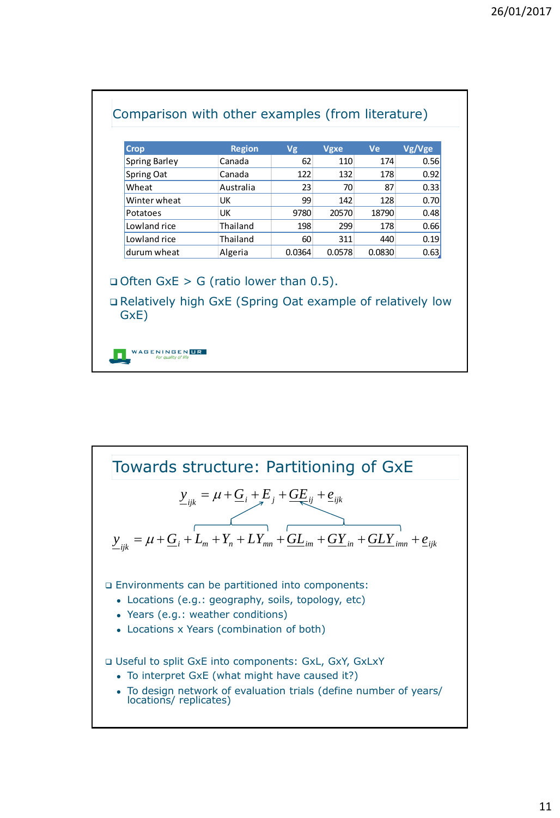| <b>Spring Barley</b><br>Canada<br>62<br>110<br>174<br>0.56<br>122<br>132<br>178<br>0.92<br>Spring Oat<br>Canada<br>Wheat<br>Australia<br>23<br>70<br>87<br>0.33<br>142<br>0.70<br>Winter wheat<br>UK<br>99<br>128<br>9780<br>20570<br>UK<br>18790<br>0.48<br>Potatoes<br>Thailand<br>198<br>299<br>Lowland rice<br>178<br>0.66<br>Lowland rice<br>Thailand<br>311<br>440<br>0.19<br>60 |
|----------------------------------------------------------------------------------------------------------------------------------------------------------------------------------------------------------------------------------------------------------------------------------------------------------------------------------------------------------------------------------------|
|                                                                                                                                                                                                                                                                                                                                                                                        |
|                                                                                                                                                                                                                                                                                                                                                                                        |
|                                                                                                                                                                                                                                                                                                                                                                                        |
|                                                                                                                                                                                                                                                                                                                                                                                        |
|                                                                                                                                                                                                                                                                                                                                                                                        |
|                                                                                                                                                                                                                                                                                                                                                                                        |
|                                                                                                                                                                                                                                                                                                                                                                                        |
| 0.0364<br>Algeria<br>0.0578<br>0.0830<br>0.63                                                                                                                                                                                                                                                                                                                                          |
| durum wheat<br>$\Box$ Often GxE > G (ratio lower than 0.5).<br>□ Relatively high GxE (Spring Oat example of relatively low                                                                                                                                                                                                                                                             |

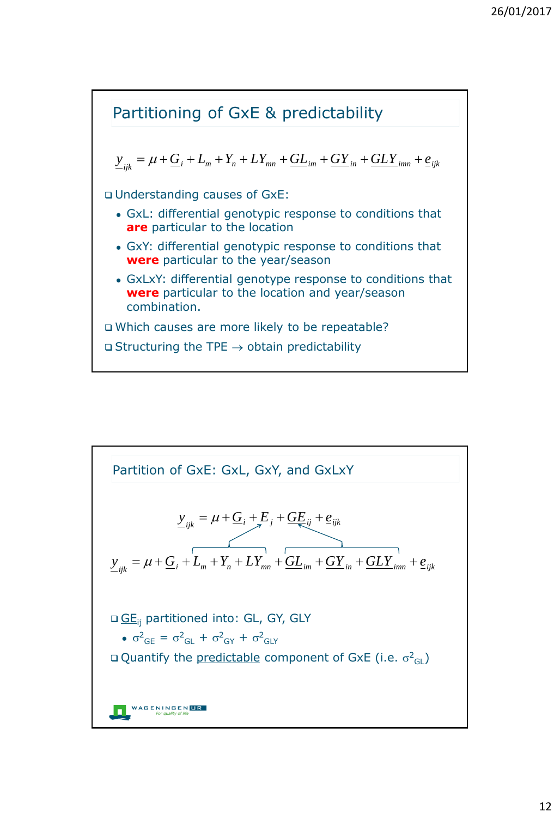

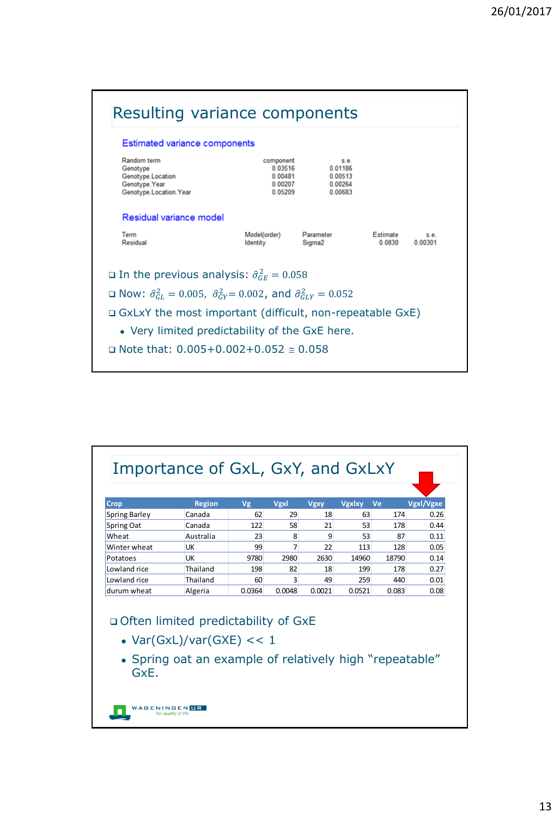

| Crop                                  | <b>Region</b>                                                                         | Vg     | Vgxl   | <b>Vgxy</b>  | <b>Vgxlxy</b><br>Ve |       | Vgxl/Vgxe |
|---------------------------------------|---------------------------------------------------------------------------------------|--------|--------|--------------|---------------------|-------|-----------|
| <b>Spring Barley</b>                  | Canada                                                                                | 62     | 29     | 18           | 63                  | 174   | 0.26      |
| <b>Spring Oat</b>                     | Canada                                                                                | 122    | 58     | 21           | 53                  | 178   | 0.44      |
| Wheat                                 | Australia                                                                             | 23     | 8      | $\mathbf{q}$ | 53                  | 87    | 0.11      |
| Winter wheat                          | UК                                                                                    | 99     | 7      | 22           | 113                 | 128   | 0.05      |
| Potatoes                              | UК                                                                                    | 9780   | 2980   | 2630         | 14960               | 18790 | 0.14      |
| Lowland rice                          | Thailand                                                                              | 198    | 82     | 18           | 199                 | 178   | 0.27      |
| Lowland rice                          | Thailand                                                                              | 60     | 3      | 49           | 259                 | 440   | 0.01      |
| durum wheat                           | Algeria                                                                               | 0.0364 | 0.0048 | 0.0021       | 0.0521              | 0.083 | 0.08      |
| □ Often limited predictability of GxE | • $Var(GxL)/Var(GXE) << 1$<br>• Spring oat an example of relatively high "repeatable" |        |        |              |                     |       |           |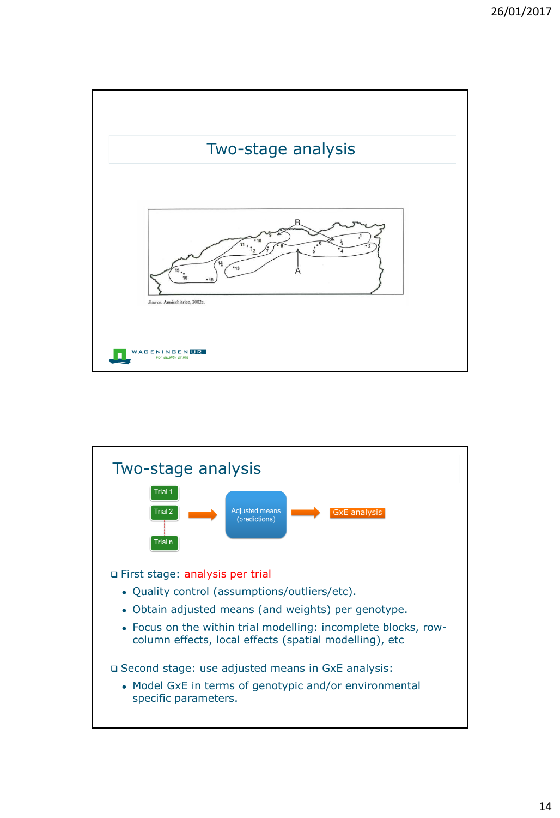

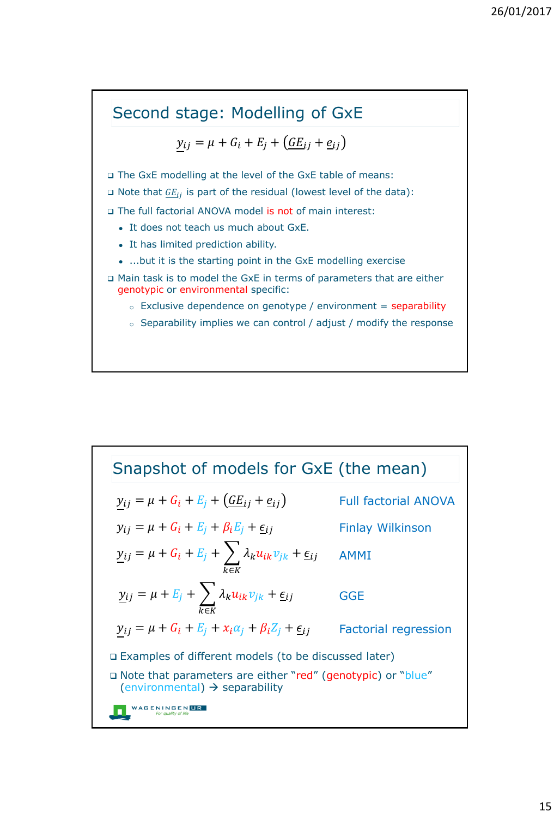